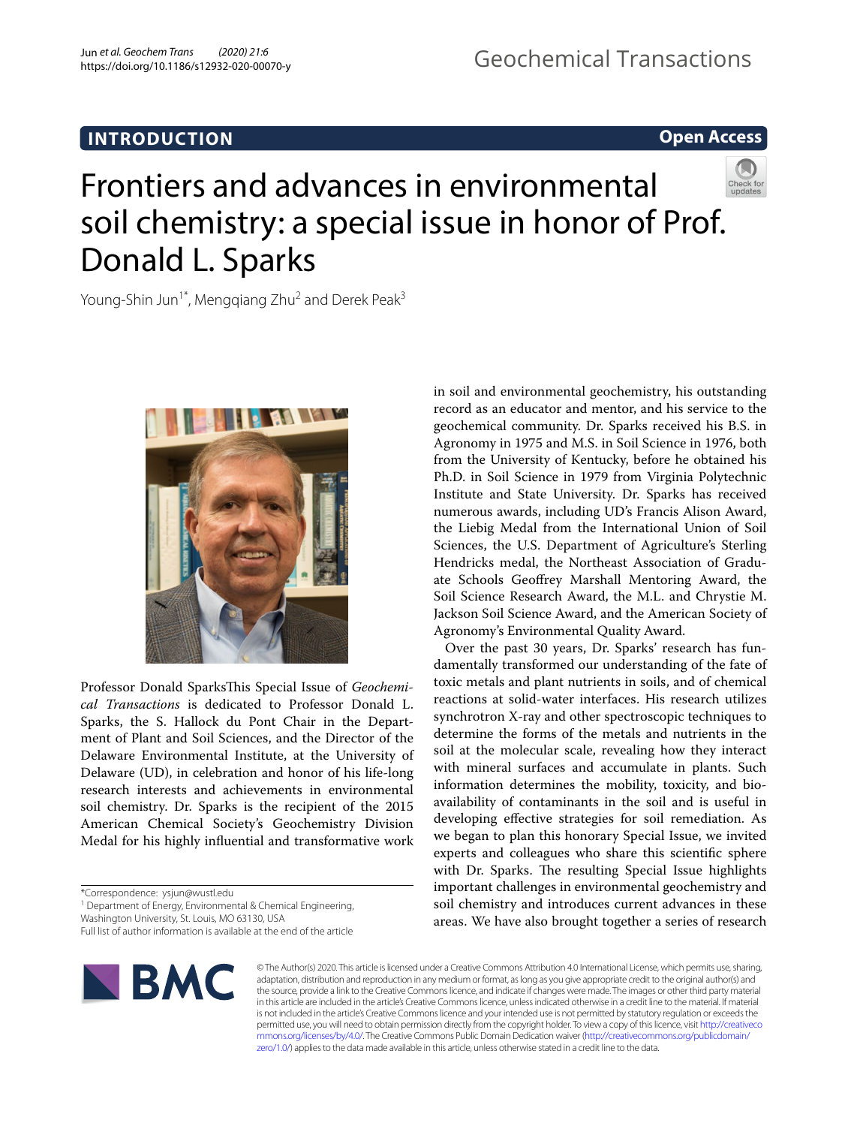# **INTRODUCTION**

**Open Access**

# Frontiers and advances in environmental soil chemistry: a special issue in honor of Prof. Donald L. Sparks

Young-Shin Jun<sup>1\*</sup>, Mengqiang Zhu<sup>2</sup> and Derek Peak<sup>3</sup>



Professor Donald SparksTis Special Issue of *Geochemical Transactions* is dedicated to Professor Donald L. Sparks, the S. Hallock du Pont Chair in the Department of Plant and Soil Sciences, and the Director of the Delaware Environmental Institute, at the University of Delaware (UD), in celebration and honor of his life-long research interests and achievements in environmental soil chemistry. Dr. Sparks is the recipient of the 2015 American Chemical Society's Geochemistry Division Medal for his highly infuential and transformative work

\*Correspondence: ysjun@wustl.edu

<sup>1</sup> Department of Energy, Environmental & Chemical Engineering,

Washington University, St. Louis, MO 63130, USA

Full list of author information is available at the end of the article



© The Author(s) 2020. This article is licensed under a Creative Commons Attribution 4.0 International License, which permits use, sharing, adaptation, distribution and reproduction in any medium or format, as long as you give appropriate credit to the original author(s) and the source, provide a link to the Creative Commons licence, and indicate if changes were made. The images or other third party material in this article are included in the article's Creative Commons licence, unless indicated otherwise in a credit line to the material. If material is not included in the article's Creative Commons licence and your intended use is not permitted by statutory regulation or exceeds the permitted use, you will need to obtain permission directly from the copyright holder. To view a copy of this licence, visit [http://creativeco](http://creativecommons.org/licenses/by/4.0/) [mmons.org/licenses/by/4.0/.](http://creativecommons.org/licenses/by/4.0/) The Creative Commons Public Domain Dedication waiver ([http://creativecommons.org/publicdomain/](http://creativecommons.org/publicdomain/zero/1.0/) [zero/1.0/\)](http://creativecommons.org/publicdomain/zero/1.0/) applies to the data made available in this article, unless otherwise stated in a credit line to the data.

in soil and environmental geochemistry, his outstanding record as an educator and mentor, and his service to the geochemical community. Dr. Sparks received his B.S. in Agronomy in 1975 and M.S. in Soil Science in 1976, both from the University of Kentucky, before he obtained his Ph.D. in Soil Science in 1979 from Virginia Polytechnic Institute and State University. Dr. Sparks has received numerous awards, including UD's Francis Alison Award, the Liebig Medal from the International Union of Soil Sciences, the U.S. Department of Agriculture's Sterling Hendricks medal, the Northeast Association of Graduate Schools Geofrey Marshall Mentoring Award, the Soil Science Research Award, the M.L. and Chrystie M. Jackson Soil Science Award, and the American Society of Agronomy's Environmental Quality Award.

Over the past 30 years, Dr. Sparks' research has fundamentally transformed our understanding of the fate of toxic metals and plant nutrients in soils, and of chemical reactions at solid-water interfaces. His research utilizes synchrotron X-ray and other spectroscopic techniques to determine the forms of the metals and nutrients in the soil at the molecular scale, revealing how they interact with mineral surfaces and accumulate in plants. Such information determines the mobility, toxicity, and bioavailability of contaminants in the soil and is useful in developing efective strategies for soil remediation. As we began to plan this honorary Special Issue, we invited experts and colleagues who share this scientifc sphere with Dr. Sparks. The resulting Special Issue highlights important challenges in environmental geochemistry and soil chemistry and introduces current advances in these areas. We have also brought together a series of research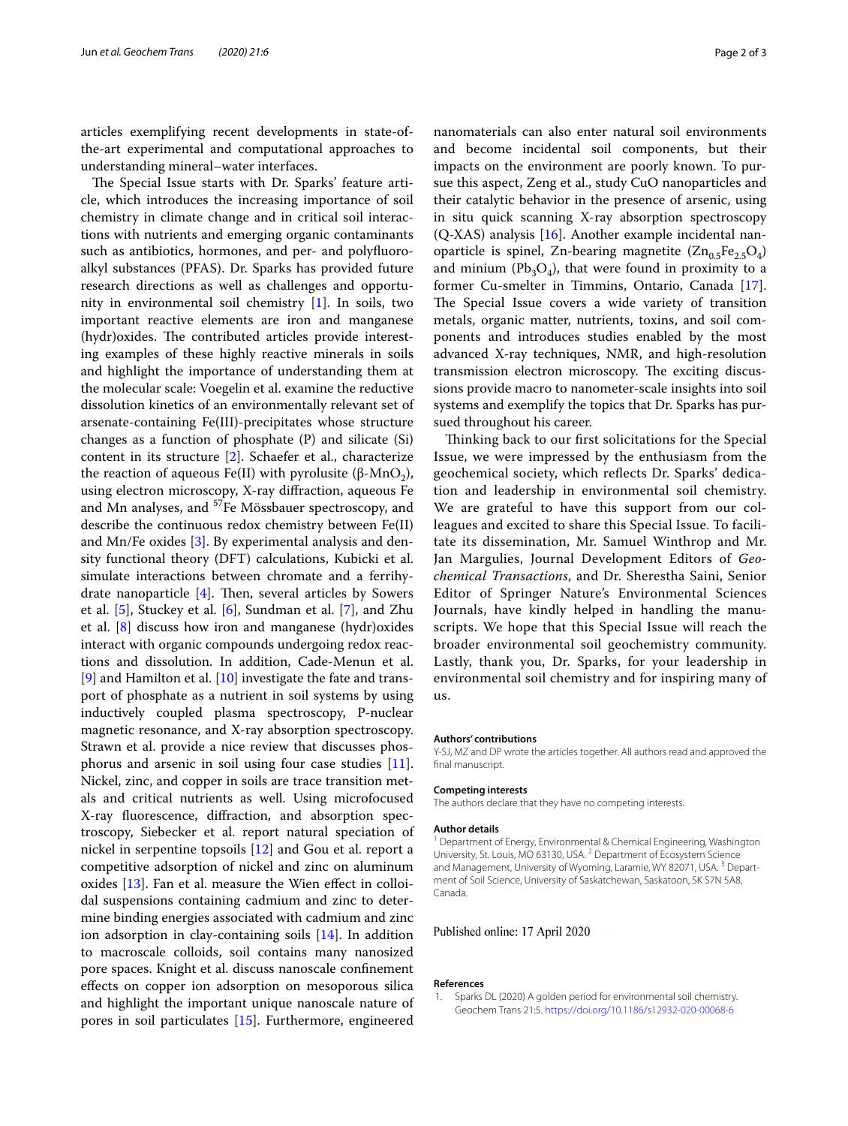articles exemplifying recent developments in state-ofthe-art experimental and computational approaches to understanding mineral–water interfaces.

The Special Issue starts with Dr. Sparks' feature article, which introduces the increasing importance of soil chemistry in climate change and in critical soil interactions with nutrients and emerging organic contaminants such as antibiotics, hormones, and per- and polyfuoroalkyl substances (PFAS). Dr. Sparks has provided future research directions as well as challenges and opportunity in environmental soil chemistry [[1\]](#page-1-0). In soils, two important reactive elements are iron and manganese (hydr) oxides. The contributed articles provide interesting examples of these highly reactive minerals in soils and highlight the importance of understanding them at the molecular scale: Voegelin et al. examine the reductive dissolution kinetics of an environmentally relevant set of arsenate-containing Fe(III)-precipitates whose structure changes as a function of phosphate (P) and silicate (Si) content in its structure [\[2](#page-2-0)]. Schaefer et al., characterize the reaction of aqueous Fe(II) with pyrolusite (β-MnO<sub>2</sub>), using electron microscopy, X-ray difraction, aqueous Fe and Mn analyses, and <sup>57</sup>Fe Mössbauer spectroscopy, and describe the continuous redox chemistry between Fe(II) and Mn/Fe oxides [[3\]](#page-2-1). By experimental analysis and density functional theory (DFT) calculations, Kubicki et al. simulate interactions between chromate and a ferrihydrate nanoparticle  $[4]$  $[4]$ . Then, several articles by Sowers et al. [\[5](#page-2-3)], Stuckey et al. [[6\]](#page-2-4), Sundman et al. [\[7](#page-2-5)], and Zhu et al. [\[8](#page-2-6)] discuss how iron and manganese (hydr)oxides interact with organic compounds undergoing redox reactions and dissolution. In addition, Cade-Menun et al. [[9\]](#page-2-7) and Hamilton et al. [\[10](#page-2-8)] investigate the fate and transport of phosphate as a nutrient in soil systems by using inductively coupled plasma spectroscopy, P-nuclear magnetic resonance, and X-ray absorption spectroscopy. Strawn et al. provide a nice review that discusses phosphorus and arsenic in soil using four case studies [\[11](#page-2-9)]. Nickel, zinc, and copper in soils are trace transition metals and critical nutrients as well. Using microfocused X-ray fuorescence, difraction, and absorption spectroscopy, Siebecker et al. report natural speciation of nickel in serpentine topsoils [\[12\]](#page-2-10) and Gou et al. report a competitive adsorption of nickel and zinc on aluminum oxides [\[13\]](#page-2-11). Fan et al. measure the Wien efect in colloidal suspensions containing cadmium and zinc to determine binding energies associated with cadmium and zinc ion adsorption in clay-containing soils [\[14\]](#page-2-12). In addition to macroscale colloids, soil contains many nanosized pore spaces. Knight et al. discuss nanoscale confnement efects on copper ion adsorption on mesoporous silica and highlight the important unique nanoscale nature of pores in soil particulates [[15](#page-2-13)]. Furthermore, engineered nanomaterials can also enter natural soil environments and become incidental soil components, but their impacts on the environment are poorly known. To pursue this aspect, Zeng et al., study CuO nanoparticles and their catalytic behavior in the presence of arsenic, using in situ quick scanning X-ray absorption spectroscopy  $(Q-XAS)$  analysis [\[16](#page-2-14)]. Another example incidental nanoparticle is spinel, Zn-bearing magnetite  $(Zn_{0.5}Fe_{2.5}O_4)$ and minium ( $Pb_3O_4$ ), that were found in proximity to a former Cu-smelter in Timmins, Ontario, Canada [\[17](#page-2-15)]. The Special Issue covers a wide variety of transition metals, organic matter, nutrients, toxins, and soil components and introduces studies enabled by the most advanced X-ray techniques, NMR, and high-resolution transmission electron microscopy. The exciting discussions provide macro to nanometer-scale insights into soil systems and exemplify the topics that Dr. Sparks has pursued throughout his career.

Thinking back to our first solicitations for the Special Issue, we were impressed by the enthusiasm from the geochemical society, which refects Dr. Sparks' dedication and leadership in environmental soil chemistry. We are grateful to have this support from our colleagues and excited to share this Special Issue. To facilitate its dissemination, Mr. Samuel Winthrop and Mr. Jan Margulies, Journal Development Editors of *Geochemical Transactions*, and Dr. Sherestha Saini, Senior Editor of Springer Nature's Environmental Sciences Journals, have kindly helped in handling the manuscripts. We hope that this Special Issue will reach the broader environmental soil geochemistry community. Lastly, thank you, Dr. Sparks, for your leadership in environmental soil chemistry and for inspiring many of us.

#### **Authors' contributions**

Y-SJ, MZ and DP wrote the articles together. All authors read and approved the final manuscript.

## **Competing interests**

The authors declare that they have no competing interests.

#### **Author details**

<sup>1</sup> Department of Energy, Environmental & Chemical Engineering, Washington University, St. Louis, MO 63130, USA. <sup>2</sup> Department of Ecosystem Science and Management, University of Wyoming, Laramie, WY 82071, USA.<sup>3</sup> Department of Soil Science, University of Saskatchewan, Saskatoon, SK S7N 5A8, Canada.

# Published online: 17 April 2020

# **References**

<span id="page-1-0"></span>1. Sparks DL (2020) A golden period for environmental soil chemistry. Geochem Trans 21:5.<https://doi.org/10.1186/s12932-020-00068-6>